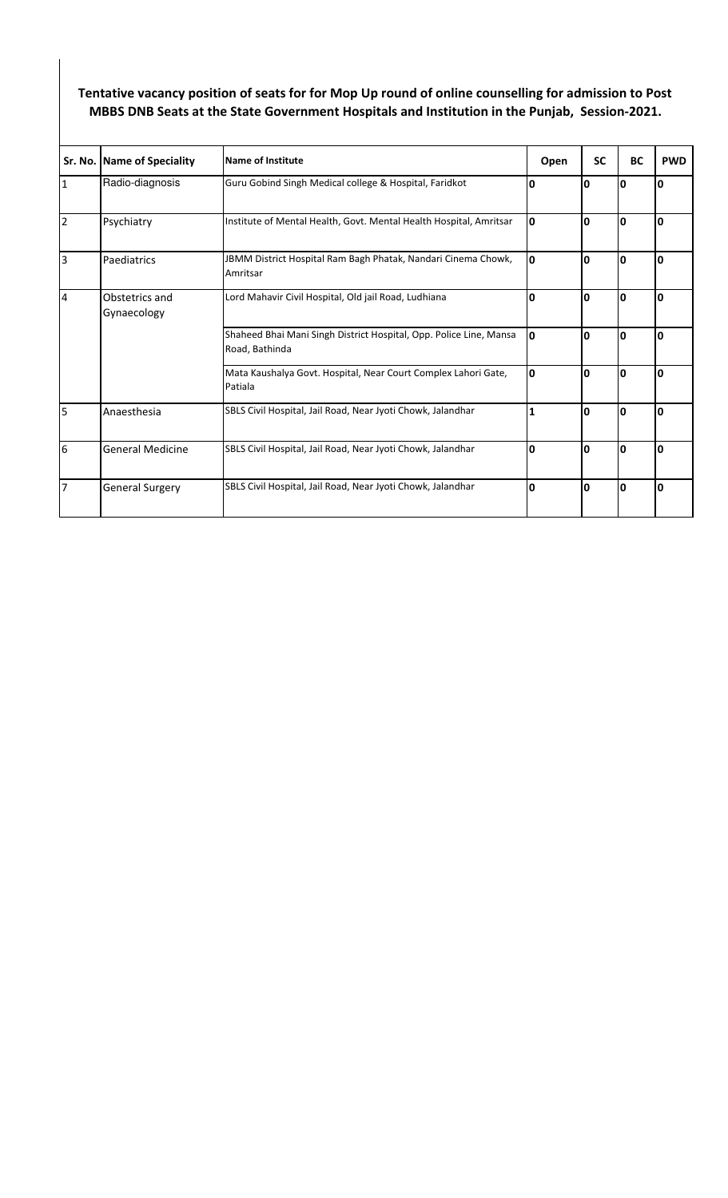## **Tentative vacancy position of seats for for Mop Up round of online counselling for admission to Post MBBS DNB Seats at the State Government Hospitals and Institution in the Punjab, Session-2021.**

|                | Sr. No. Name of Speciality    | <b>Name of Institute</b>                                                             | Open         | <b>SC</b> | <b>BC</b>   | <b>PWD</b> |
|----------------|-------------------------------|--------------------------------------------------------------------------------------|--------------|-----------|-------------|------------|
| $\overline{1}$ | Radio-diagnosis               | Guru Gobind Singh Medical college & Hospital, Faridkot                               | O            | 0         | 0           | I٥         |
| $\overline{2}$ | Psychiatry                    | Institute of Mental Health, Govt. Mental Health Hospital, Amritsar                   | I٥           | 0         | 0           | I٥         |
| l3             | Paediatrics                   | JBMM District Hospital Ram Bagh Phatak, Nandari Cinema Chowk,<br>Amritsar            | I٥           | 0         | 0           | ١O         |
| $\overline{4}$ | Obstetrics and<br>Gynaecology | Lord Mahavir Civil Hospital, Old jail Road, Ludhiana                                 | $\mathbf{0}$ | 0         | $\mathbf 0$ | I٥         |
|                |                               | Shaheed Bhai Mani Singh District Hospital, Opp. Police Line, Mansa<br>Road, Bathinda | I٥           | 0         | 0           | 10         |
|                |                               | Mata Kaushalya Govt. Hospital, Near Court Complex Lahori Gate,<br>Patiala            | I٥           | 0         | 0           | I٥         |
| 5              | Anaesthesia                   | SBLS Civil Hospital, Jail Road, Near Jyoti Chowk, Jalandhar                          | $\mathbf{1}$ | 0         | 0           | I٥         |
| 6              | <b>General Medicine</b>       | SBLS Civil Hospital, Jail Road, Near Jyoti Chowk, Jalandhar                          | O            | 0         | $\mathbf 0$ | I٥         |
| 7              | <b>General Surgery</b>        | SBLS Civil Hospital, Jail Road, Near Jyoti Chowk, Jalandhar                          | I٥           | 0         | 0           | I٥         |